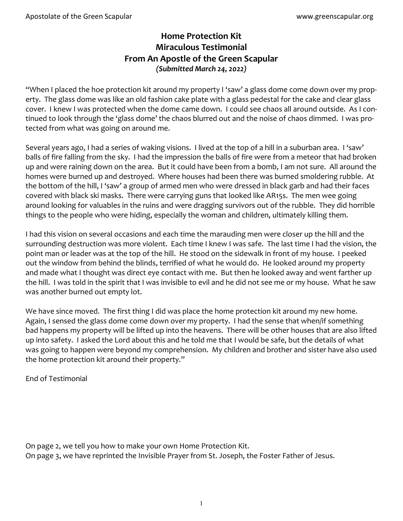# **Home Protection Kit Miraculous Testimonial From An Apostle of the Green Scapular**  *(Submitted March 24, 2022)*

"When I placed the hoe protection kit around my property I 'saw' a glass dome come down over my property. The glass dome was like an old fashion cake plate with a glass pedestal for the cake and clear glass cover. I knew I was protected when the dome came down. I could see chaos all around outside. As I continued to look through the 'glass dome' the chaos blurred out and the noise of chaos dimmed. I was protected from what was going on around me.

Several years ago, I had a series of waking visions. I lived at the top of a hill in a suburban area. I 'saw' balls of fire falling from the sky. I had the impression the balls of fire were from a meteor that had broken up and were raining down on the area. But it could have been from a bomb, I am not sure. All around the homes were burned up and destroyed. Where houses had been there was burned smoldering rubble. At the bottom of the hill, I 'saw' a group of armed men who were dressed in black garb and had their faces covered with black ski masks. There were carrying guns that looked like AR15s. The men wee going around looking for valuables in the ruins and were dragging survivors out of the rubble. They did horrible things to the people who were hiding, especially the woman and children, ultimately killing them.

I had this vision on several occasions and each time the marauding men were closer up the hill and the surrounding destruction was more violent. Each time I knew I was safe. The last time I had the vision, the point man or leader was at the top of the hill. He stood on the sidewalk in front of my house. I peeked out the window from behind the blinds, terrified of what he would do. He looked around my property and made what I thought was direct eye contact with me. But then he looked away and went farther up the hill. I was told in the spirit that I was invisible to evil and he did not see me or my house. What he saw was another burned out empty lot.

We have since moved. The first thing I did was place the home protection kit around my new home. Again, I sensed the glass dome come down over my property. I had the sense that when/if something bad happens my property will be lifted up into the heavens. There will be other houses that are also lifted up into safety. I asked the Lord about this and he told me that I would be safe, but the details of what was going to happen were beyond my comprehension. My children and brother and sister have also used the home protection kit around their property."

End of Testimonial

On page 2, we tell you how to make your own Home Protection Kit. On page 3, we have reprinted the Invisible Prayer from St. Joseph, the Foster Father of Jesus.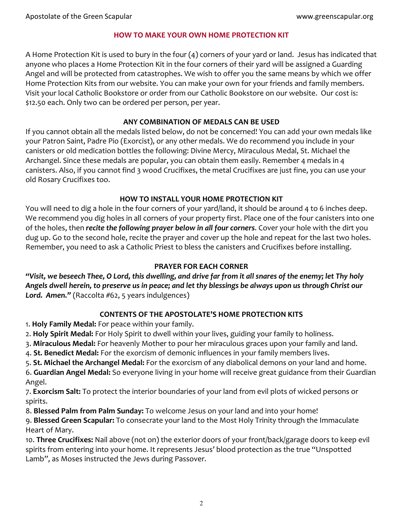#### **HOW TO MAKE YOUR OWN HOME PROTECTION KIT**

A Home Protection Kit is used to bury in the four (4) corners of your yard or land. Jesus has indicated that anyone who places a Home Protection Kit in the four corners of their yard will be assigned a Guarding Angel and will be protected from catastrophes. We wish to offer you the same means by which we offer Home Protection Kits from our website. You can make your own for your friends and family members. Visit your local Catholic Bookstore or order from our Catholic Bookstore on our website. Our cost is: \$12.50 each. Only two can be ordered per person, per year.

#### **ANY COMBINATION OF MEDALS CAN BE USED**

If you cannot obtain all the medals listed below, do not be concerned! You can add your own medals like your Patron Saint, Padre Pio (Exorcist), or any other medals. We do recommend you include in your canisters or old medication bottles the following: Divine Mercy, Miraculous Medal, St. Michael the Archangel. Since these medals are popular, you can obtain them easily. Remember 4 medals in 4 canisters. Also, if you cannot find 3 wood Crucifixes, the metal Crucifixes are just fine, you can use your old Rosary Crucifixes too.

## **HOW TO INSTALL YOUR HOME PROTECTION KIT**

You will need to dig a hole in the four corners of your yard/land, it should be around 4 to 6 inches deep. We recommend you dig holes in all corners of your property first. Place one of the four canisters into one of the holes, then *recite the following prayer below in all four corners*. Cover your hole with the dirt you dug up. Go to the second hole, recite the prayer and cover up the hole and repeat for the last two holes. Remember, you need to ask a Catholic Priest to bless the canisters and Crucifixes before installing.

## **PRAYER FOR EACH CORNER**

*"Visit, we beseech Thee, O Lord, this dwelling, and drive far from it all snares of the enemy; let Thy holy Angels dwell herein, to preserve us in peace; and let thy blessings be always upon us through Christ our Lord. Amen."* (Raccolta #62, 5 years indulgences)

# **CONTENTS OF THE APOSTOLATE'S HOME PROTECTION KITS**

- 1. **Holy Family Medal:** For peace within your family.
- 2. **Holy Spirit Medal:** For Holy Spirit to dwell within your lives, guiding your family to holiness.
- 3. **Miraculous Medal:** For heavenly Mother to pour her miraculous graces upon your family and land.
- 4. **St. Benedict Medal:** For the exorcism of demonic influences in your family members lives.
- 5. **St. Michael the Archangel Medal:** For the exorcism of any diabolical demons on your land and home.

6. **Guardian Angel Medal:** So everyone living in your home will receive great guidance from their Guardian Angel.

7. **Exorcism Salt:** To protect the interior boundaries of your land from evil plots of wicked persons or spirits.

8. **Blessed Palm from Palm Sunday:** To welcome Jesus on your land and into your home!

9. **Blessed Green Scapular:** To consecrate your land to the Most Holy Trinity through the Immaculate Heart of Mary.

10. **Three Crucifixes:** Nail above (not on) the exterior doors of your front/back/garage doors to keep evil spirits from entering into your home. It represents Jesus' blood protection as the true "Unspotted Lamb", as Moses instructed the Jews during Passover.